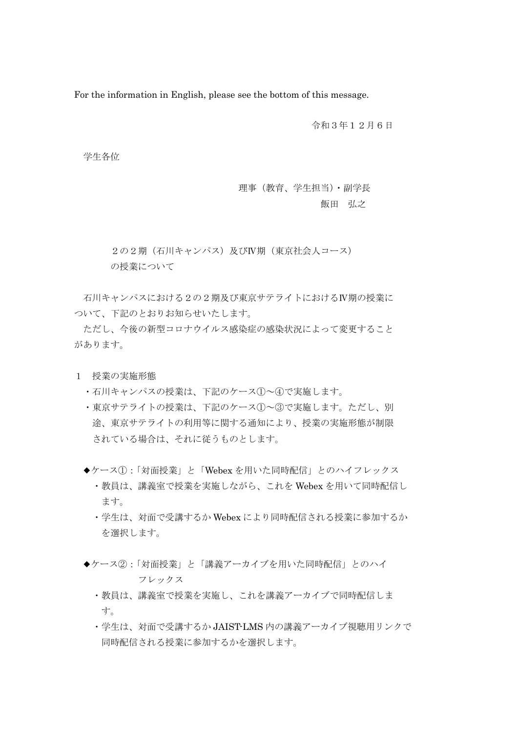For the information in English, please see the bottom of this message.

令和3年12月6日

学生各位

 理事(教育、学生担当)・副学長 飯田 弘之

 2の2期(石川キャンパス)及びⅣ期(東京社会人コース) の授業について

 石川キャンパスにおける2の2期及び東京サテライトにおけるⅣ期の授業に ついて、下記のとおりお知らせいたします。

 ただし、今後の新型コロナウイルス感染症の感染状況によって変更すること があります。

- 1 授業の実施形態
	- ・石川キャンパスの授業は、下記のケース①~④で実施します。
	- ・東京サテライトの授業は、下記のケース①~③で実施します。ただし、別 途、東京サテライトの利用等に関する通知により、授業の実施形態が制限 されている場合は、それに従うものとします。
	- ◆ケース①:「対面授業」と「Webex を用いた同時配信」とのハイフレックス ・教員は、講義室で授業を実施しながら、これを Webex を用いて同時配信し ます。
		- ・学生は、対面で受講するか Webex により同時配信される授業に参加するか を選択します。
	- ◆ケース②:「対面授業」と「講義アーカイブを用いた同時配信」とのハイ フレックス
		- ・教員は、講義室で授業を実施し、これを講義アーカイブで同時配信しま す。
		- ・学生は、対面で受講するか JAIST-LMS 内の講義アーカイブ視聴用リンクで 同時配信される授業に参加するかを選択します。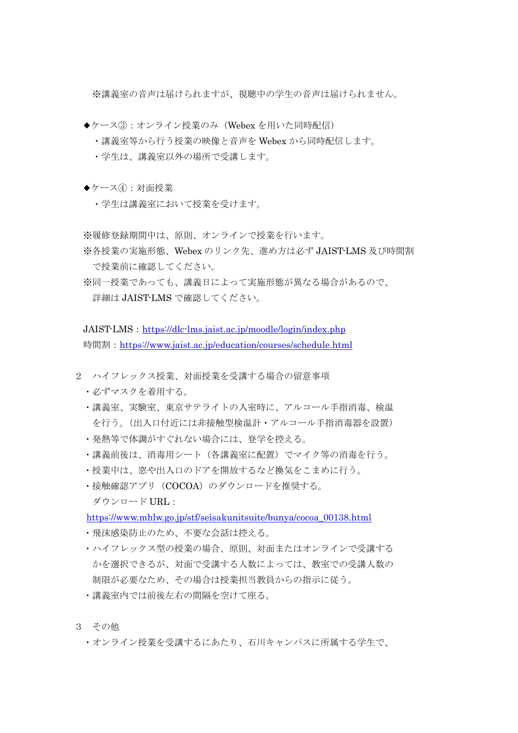※講義室の音声は届けられますが、視聴中の学生の音声は届けられません。

- ◆ケース③:オンライン授業のみ (Webex を用いた同時配信)
	- ・講義室等から行う授業の映像と音声を Webex から同時配信します。
	- ・学生は、講義室以外の場所で受講します。
- ◆ケース④:対面授業
	- ・学生は講義室において授業を受けます。

※履修登録期間中は、原則、オンラインで授業を行います。

- ※各授業の実施形態、Webex のリンク先、進め方は必ず JAIST-LMS 及び時間割 で授業前に確認してください。
- ※同一授業であっても、講義日によって実施形態が異なる場合があるので、 詳細は JAIST-LMS で確認してください。

JAIST-LMS: https://dlc-lms.jaist.ac.jp/moodle/login/index.php 時間割: https://www.jaist.ac.jp/education/courses/schedule.html

- 2 ハイフレックス授業、対面授業を受講する場合の留意事項
	- ・必ずマスクを着用する。
	- ・講義室、実験室、東京サテライトの入室時に、アルコール手指消毒、検温 を行う。(出入口付近には非接触型検温計・アルコール手指消毒器を設置)
	- ・発熱等で体調がすぐれない場合には、登学を控える。
	- ・講義前後は、消毒用シート(各講義室に配置)でマイク等の消毒を行う。
	- ・授業中は、窓や出入口のドアを開放するなど換気をこまめに行う。
	- ・接触確認アプリ(COCOA)のダウンロードを推奨する。 ダウンロード URL:

https://www.mhlw.go.jp/stf/seisakunitsuite/bunya/cocoa\_00138.html

- ・飛沫感染防止のため、不要な会話は控える。
- ・ハイフレックス型の授業の場合、原則、対面またはオンラインで受講する かを選択できるが、対面で受講する人数によっては、教室での受講人数の 制限が必要なため、その場合は授業担当教員からの指示に従う。
- ・講義室内では前後左右の間隔を空けて座る。
- 3 その他
	- ・オンライン授業を受講するにあたり、石川キャンパスに所属する学生で、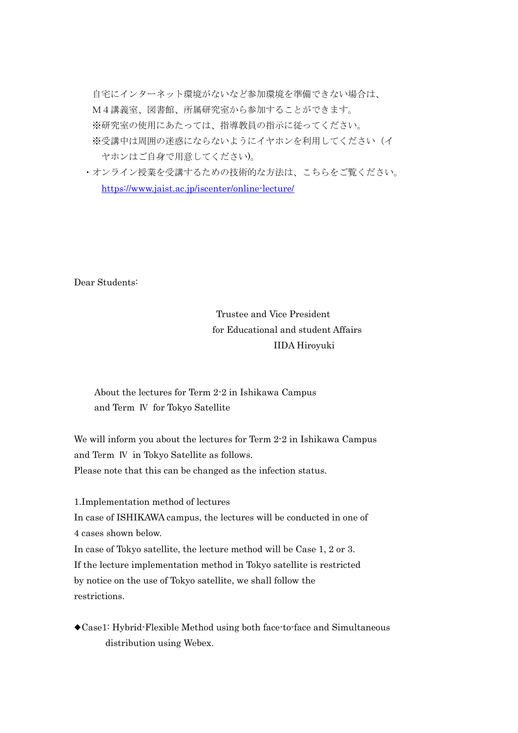自宅にインターネット環境がないなど参加環境を準備できない場合は、 M4講義室、図書館、所属研究室から参加することができます。 ※研究室の使用にあたっては、指導教員の指示に従ってください。 ※受講中は周囲の迷惑にならないようにイヤホンを利用してください(イ ヤホンはご自身で用意してください)。

 ・オンライン授業を受講するための技術的な方法は、こちらをご覧ください。 https://www.jaist.ac.jp/iscenter/online-lecture/

Dear Students:

## Trustee and Vice President for Educational and student Affairs IIDA Hiroyuki

## About the lectures for Term 2-2 in Ishikawa Campus and Term Ⅳ for Tokyo Satellite

We will inform you about the lectures for Term 2-2 in Ishikawa Campus and Term Ⅳ in Tokyo Satellite as follows. Please note that this can be changed as the infection status.

1.Implementation method of lectures

In case of ISHIKAWA campus, the lectures will be conducted in one of 4 cases shown below.

In case of Tokyo satellite, the lecture method will be Case 1, 2 or 3. If the lecture implementation method in Tokyo satellite is restricted by notice on the use of Tokyo satellite, we shall follow the restrictions.

◆Case1: Hybrid-Flexible Method using both face-to-face and Simultaneous distribution using Webex.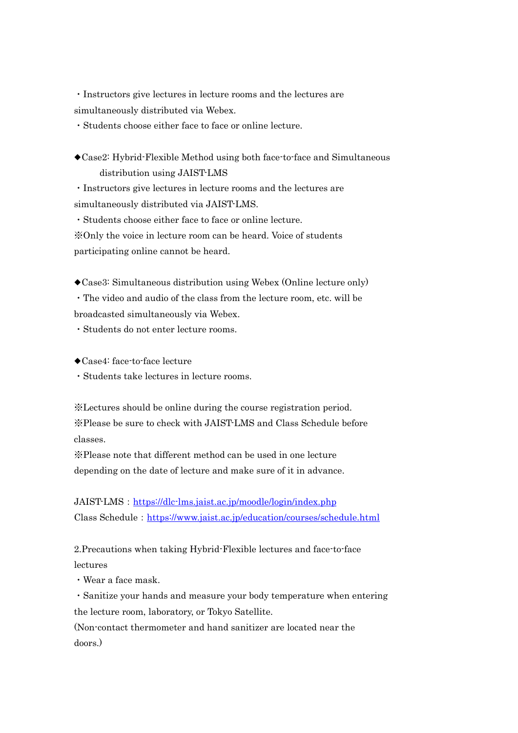・Instructors give lectures in lecture rooms and the lectures are simultaneously distributed via Webex.

・Students choose either face to face or online lecture.

◆Case2: Hybrid-Flexible Method using both face-to-face and Simultaneous distribution using JAIST-LMS

・Instructors give lectures in lecture rooms and the lectures are simultaneously distributed via JAIST-LMS.

・Students choose either face to face or online lecture. ※Only the voice in lecture room can be heard. Voice of students participating online cannot be heard.

◆Case3: Simultaneous distribution using Webex (Online lecture only)

・The video and audio of the class from the lecture room, etc. will be broadcasted simultaneously via Webex.

・Students do not enter lecture rooms.

◆Case4: face-to-face lecture

・Students take lectures in lecture rooms.

※Lectures should be online during the course registration period. ※Please be sure to check with JAIST-LMS and Class Schedule before classes.

※Please note that different method can be used in one lecture depending on the date of lecture and make sure of it in advance.

JAIST-LMS: https://dlc-lms.jaist.ac.jp/moodle/login/index.php Class Schedule: https://www.jaist.ac.jp/education/courses/schedule.html

2.Precautions when taking Hybrid-Flexible lectures and face-to-face lectures

・Wear a face mask.

・Sanitize your hands and measure your body temperature when entering the lecture room, laboratory, or Tokyo Satellite.

(Non-contact thermometer and hand sanitizer are located near the doors.)